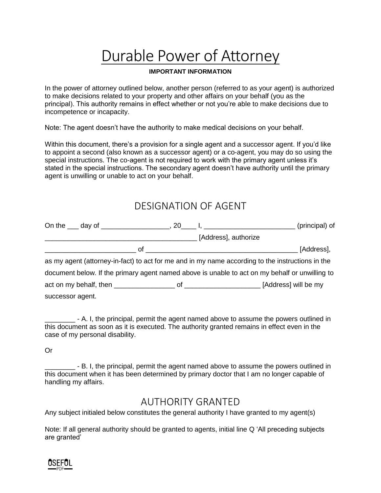# Durable Power of Attorney

## **IMPORTANT INFORMATION**

In the power of attorney outlined below, another person (referred to as your agent) is authorized to make decisions related to your property and other affairs on your behalf (you as the principal). This authority remains in effect whether or not you're able to make decisions due to incompetence or incapacity.

Note: The agent doesn't have the authority to make medical decisions on your behalf.

Within this document, there's a provision for a single agent and a successor agent. If you'd like to appoint a second (also known as a successor agent) or a co-agent, you may do so using the special instructions. The co-agent is not required to work with the primary agent unless it's stated in the special instructions. The secondary agent doesn't have authority until the primary agent is unwilling or unable to act on your behalf.

# DESIGNATION OF AGENT

|                  | (principal) of                                                                                   |
|------------------|--------------------------------------------------------------------------------------------------|
|                  | [Address], authorize                                                                             |
|                  | [Address],                                                                                       |
|                  | as my agent (attorney-in-fact) to act for me and in my name according to the instructions in the |
|                  | document below. If the primary agent named above is unable to act on my behalf or unwilling to   |
|                  |                                                                                                  |
| successor agent. |                                                                                                  |

\_\_\_\_\_\_\_\_ - A. I, the principal, permit the agent named above to assume the powers outlined in this document as soon as it is executed. The authority granted remains in effect even in the case of my personal disability.

Or

\_\_\_\_\_\_\_\_ - B. I, the principal, permit the agent named above to assume the powers outlined in this document when it has been determined by primary doctor that I am no longer capable of handling my affairs.

# AUTHORITY GRANTED

Any subject initialed below constitutes the general authority I have granted to my agent(s)

Note: If all general authority should be granted to agents, initial line Q 'All preceding subjects are granted'

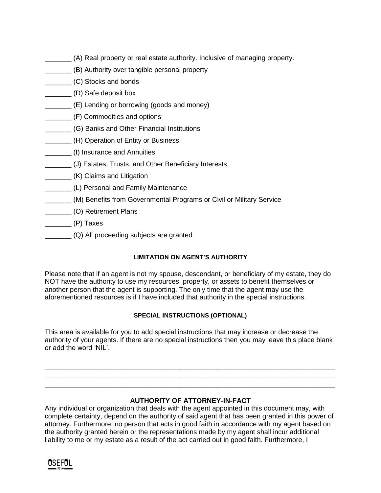- \_\_\_\_\_\_\_ (A) Real property or real estate authority. Inclusive of managing property.
- \_\_\_\_\_\_\_ (B) Authority over tangible personal property
- \_\_\_\_\_\_\_ (C) Stocks and bonds
- \_\_\_\_\_\_\_ (D) Safe deposit box
- \_\_\_\_\_\_\_ (E) Lending or borrowing (goods and money)
- \_\_\_\_\_\_\_ (F) Commodities and options
- **\_\_\_\_\_\_\_\_ (G) Banks and Other Financial Institutions**
- **\_\_\_\_\_\_\_\_\_** (H) Operation of Entity or Business
- \_\_\_\_\_\_\_ (I) Insurance and Annuities
- \_\_\_\_\_\_\_ (J) Estates, Trusts, and Other Beneficiary Interests
- **\_\_\_\_\_\_\_\_\_\_\_ (K) Claims and Litigation**
- \_\_\_\_\_\_\_ (L) Personal and Family Maintenance
- \_\_\_\_\_\_\_ (M) Benefits from Governmental Programs or Civil or Military Service
- \_\_\_\_\_\_\_ (O) Retirement Plans
- $\sqrt{P}$  Taxes
- \_\_\_\_\_\_\_ (Q) All proceeding subjects are granted

# **LIMITATION ON AGENT'S AUTHORITY**

Please note that if an agent is not my spouse, descendant, or beneficiary of my estate, they do NOT have the authority to use my resources, property, or assets to benefit themselves or another person that the agent is supporting. The only time that the agent may use the aforementioned resources is if I have included that authority in the special instructions.

# **SPECIAL INSTRUCTIONS (OPTIONAL)**

This area is available for you to add special instructions that may increase or decrease the authority of your agents. If there are no special instructions then you may leave this place blank or add the word 'NIL'.

\_\_\_\_\_\_\_\_\_\_\_\_\_\_\_\_\_\_\_\_\_\_\_\_\_\_\_\_\_\_\_\_\_\_\_\_\_\_\_\_\_\_\_\_\_\_\_\_\_\_\_\_\_\_\_\_\_\_\_\_\_\_\_\_\_\_\_\_\_\_\_\_\_\_\_\_\_\_\_\_\_\_\_\_ \_\_\_\_\_\_\_\_\_\_\_\_\_\_\_\_\_\_\_\_\_\_\_\_\_\_\_\_\_\_\_\_\_\_\_\_\_\_\_\_\_\_\_\_\_\_\_\_\_\_\_\_\_\_\_\_\_\_\_\_\_\_\_\_\_\_\_\_\_\_\_\_\_\_\_\_\_\_\_\_\_\_\_\_ \_\_\_\_\_\_\_\_\_\_\_\_\_\_\_\_\_\_\_\_\_\_\_\_\_\_\_\_\_\_\_\_\_\_\_\_\_\_\_\_\_\_\_\_\_\_\_\_\_\_\_\_\_\_\_\_\_\_\_\_\_\_\_\_\_\_\_\_\_\_\_\_\_\_\_\_\_\_\_\_\_\_\_\_

# **AUTHORITY OF ATTORNEY-IN-FACT**

Any individual or organization that deals with the agent appointed in this document may, with complete certainty, depend on the authority of said agent that has been granted in this power of attorney. Furthermore, no person that acts in good faith in accordance with my agent based on the authority granted herein or the representations made by my agent shall incur additional liability to me or my estate as a result of the act carried out in good faith. Furthermore, I

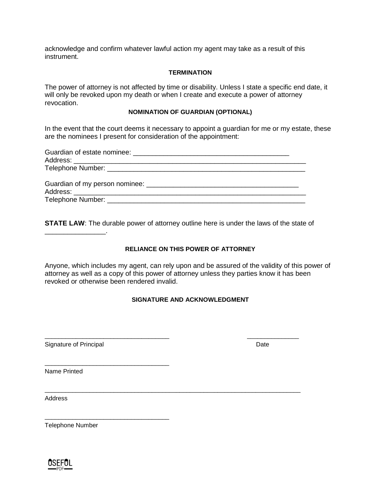acknowledge and confirm whatever lawful action my agent may take as a result of this instrument.

#### **TERMINATION**

The power of attorney is not affected by time or disability. Unless I state a specific end date, it will only be revoked upon my death or when I create and execute a power of attorney revocation.

#### **NOMINATION OF GUARDIAN (OPTIONAL)**

In the event that the court deems it necessary to appoint a guardian for me or my estate, these are the nominees I present for consideration of the appointment:

| Telephone Number: The contract of the contract of the contract of the contract of the contract of the contract of the contract of the contract of the contract of the contract of the contract of the contract of the contract |  |
|--------------------------------------------------------------------------------------------------------------------------------------------------------------------------------------------------------------------------------|--|
|                                                                                                                                                                                                                                |  |

**STATE LAW**: The durable power of attorney outline here is under the laws of the state of

### **RELIANCE ON THIS POWER OF ATTORNEY**

Anyone, which includes my agent, can rely upon and be assured of the validity of this power of attorney as well as a copy of this power of attorney unless they parties know it has been revoked or otherwise been rendered invalid.

### **SIGNATURE AND ACKNOWLEDGMENT**

\_\_\_\_\_\_\_\_\_\_\_\_\_\_\_\_\_\_\_\_\_\_\_\_\_\_\_\_\_\_\_\_\_\_\_\_ \_\_\_\_\_\_\_\_\_\_\_\_\_\_\_

\_\_\_\_\_\_\_\_\_\_\_\_\_\_\_\_\_\_\_\_\_\_\_\_\_\_\_\_\_\_\_\_\_\_\_\_\_\_\_\_\_\_\_\_\_\_\_\_\_\_\_\_\_\_\_\_\_\_\_\_\_\_\_\_\_\_\_\_\_\_\_\_\_\_

Signature of Principal Date Date Date Date Date Date

\_\_\_\_\_\_\_\_\_\_\_\_\_\_\_\_\_\_\_\_\_\_\_\_\_\_\_\_\_\_\_\_\_\_\_\_

\_\_\_\_\_\_\_\_\_\_\_\_\_\_\_\_\_\_\_\_\_\_\_\_\_\_\_\_\_\_\_\_\_\_\_\_

\_\_\_\_\_\_\_\_\_\_\_\_\_\_\_\_.

Name Printed

**Address** 

Telephone Number